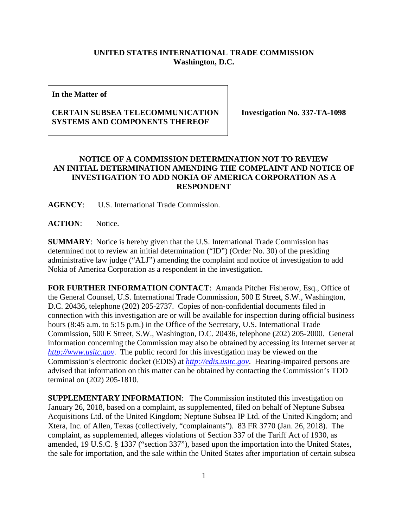## **UNITED STATES INTERNATIONAL TRADE COMMISSION Washington, D.C.**

**In the Matter of**

## **CERTAIN SUBSEA TELECOMMUNICATION SYSTEMS AND COMPONENTS THEREOF**

**Investigation No. 337-TA-1098**

## **NOTICE OF A COMMISSION DETERMINATION NOT TO REVIEW AN INITIAL DETERMINATION AMENDING THE COMPLAINT AND NOTICE OF INVESTIGATION TO ADD NOKIA OF AMERICA CORPORATION AS A RESPONDENT**

**AGENCY**: U.S. International Trade Commission.

**ACTION**: Notice.

**SUMMARY**: Notice is hereby given that the U.S. International Trade Commission has determined not to review an initial determination ("ID") (Order No. 30) of the presiding administrative law judge ("ALJ") amending the complaint and notice of investigation to add Nokia of America Corporation as a respondent in the investigation.

**FOR FURTHER INFORMATION CONTACT**: Amanda Pitcher Fisherow, Esq., Office of the General Counsel, U.S. International Trade Commission, 500 E Street, S.W., Washington, D.C. 20436, telephone (202) 205-2737. Copies of non-confidential documents filed in connection with this investigation are or will be available for inspection during official business hours (8:45 a.m. to 5:15 p.m.) in the Office of the Secretary, U.S. International Trade Commission, 500 E Street, S.W., Washington, D.C. 20436, telephone (202) 205-2000. General information concerning the Commission may also be obtained by accessing its Internet server at *[http://www.usitc.gov](http://www.usitc.gov/)*. The public record for this investigation may be viewed on the Commission's electronic docket (EDIS) at *[http://edis.usitc.gov](http://edis.usitc.gov/)*. Hearing-impaired persons are advised that information on this matter can be obtained by contacting the Commission's TDD terminal on (202) 205-1810.

**SUPPLEMENTARY INFORMATION:** The Commission instituted this investigation on January 26, 2018, based on a complaint, as supplemented, filed on behalf of Neptune Subsea Acquisitions Ltd. of the United Kingdom; Neptune Subsea IP Ltd. of the United Kingdom; and Xtera, Inc. of Allen, Texas (collectively, "complainants"). 83 FR 3770 (Jan. 26, 2018). The complaint, as supplemented, alleges violations of Section 337 of the Tariff Act of 1930, as amended, 19 U.S.C. § 1337 ("section 337"), based upon the importation into the United States, the sale for importation, and the sale within the United States after importation of certain subsea